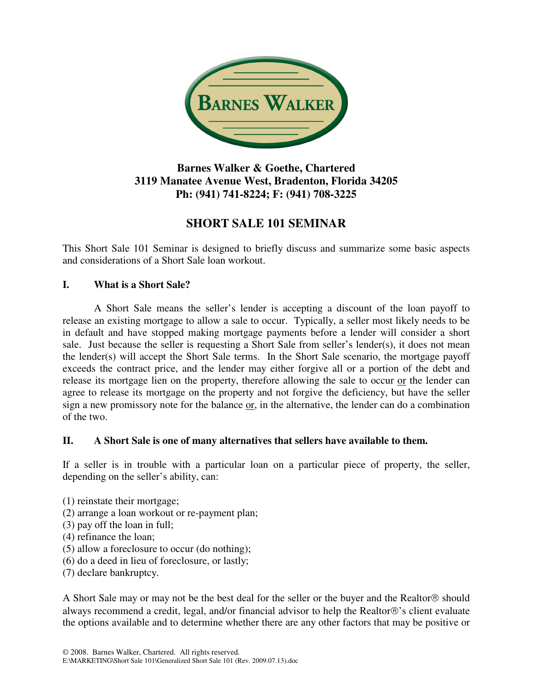

## **Barnes Walker & Goethe, Chartered 3119 Manatee Avenue West, Bradenton, Florida 34205 Ph: (941) 741-8224; F: (941) 708-3225**

# **SHORT SALE 101 SEMINAR**

This Short Sale 101 Seminar is designed to briefly discuss and summarize some basic aspects and considerations of a Short Sale loan workout.

### **I. What is a Short Sale?**

 A Short Sale means the seller's lender is accepting a discount of the loan payoff to release an existing mortgage to allow a sale to occur. Typically, a seller most likely needs to be in default and have stopped making mortgage payments before a lender will consider a short sale. Just because the seller is requesting a Short Sale from seller's lender(s), it does not mean the lender(s) will accept the Short Sale terms. In the Short Sale scenario, the mortgage payoff exceeds the contract price, and the lender may either forgive all or a portion of the debt and release its mortgage lien on the property, therefore allowing the sale to occur or the lender can agree to release its mortgage on the property and not forgive the deficiency, but have the seller sign a new promissory note for the balance or, in the alternative, the lender can do a combination of the two.

### **II. A Short Sale is one of many alternatives that sellers have available to them.**

If a seller is in trouble with a particular loan on a particular piece of property, the seller, depending on the seller's ability, can:

- (1) reinstate their mortgage;
- (2) arrange a loan workout or re-payment plan;
- (3) pay off the loan in full;
- (4) refinance the loan;
- (5) allow a foreclosure to occur (do nothing);
- (6) do a deed in lieu of foreclosure, or lastly;
- (7) declare bankruptcy.

A Short Sale may or may not be the best deal for the seller or the buyer and the Realtor<sup>®</sup> should always recommend a credit, legal, and/or financial advisor to help the Realtor®'s client evaluate the options available and to determine whether there are any other factors that may be positive or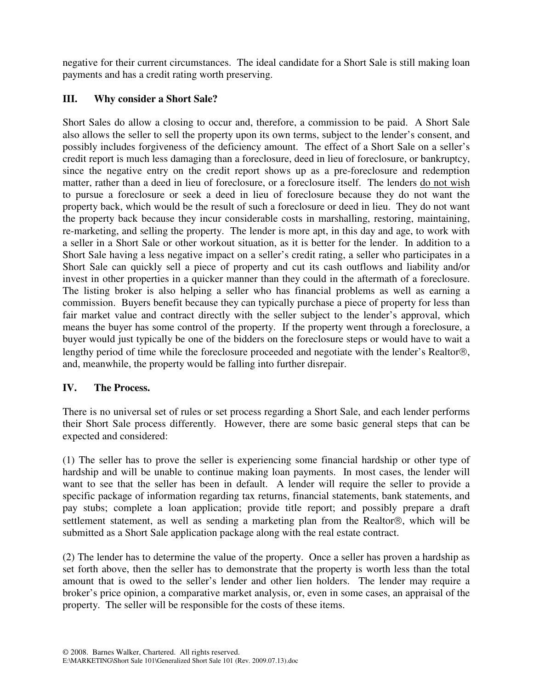negative for their current circumstances. The ideal candidate for a Short Sale is still making loan payments and has a credit rating worth preserving.

### **III. Why consider a Short Sale?**

Short Sales do allow a closing to occur and, therefore, a commission to be paid. A Short Sale also allows the seller to sell the property upon its own terms, subject to the lender's consent, and possibly includes forgiveness of the deficiency amount. The effect of a Short Sale on a seller's credit report is much less damaging than a foreclosure, deed in lieu of foreclosure, or bankruptcy, since the negative entry on the credit report shows up as a pre-foreclosure and redemption matter, rather than a deed in lieu of foreclosure, or a foreclosure itself. The lenders do not wish to pursue a foreclosure or seek a deed in lieu of foreclosure because they do not want the property back, which would be the result of such a foreclosure or deed in lieu. They do not want the property back because they incur considerable costs in marshalling, restoring, maintaining, re-marketing, and selling the property. The lender is more apt, in this day and age, to work with a seller in a Short Sale or other workout situation, as it is better for the lender. In addition to a Short Sale having a less negative impact on a seller's credit rating, a seller who participates in a Short Sale can quickly sell a piece of property and cut its cash outflows and liability and/or invest in other properties in a quicker manner than they could in the aftermath of a foreclosure. The listing broker is also helping a seller who has financial problems as well as earning a commission. Buyers benefit because they can typically purchase a piece of property for less than fair market value and contract directly with the seller subject to the lender's approval, which means the buyer has some control of the property. If the property went through a foreclosure, a buyer would just typically be one of the bidders on the foreclosure steps or would have to wait a lengthy period of time while the foreclosure proceeded and negotiate with the lender's Realtor®, and, meanwhile, the property would be falling into further disrepair.

### **IV. The Process.**

There is no universal set of rules or set process regarding a Short Sale, and each lender performs their Short Sale process differently. However, there are some basic general steps that can be expected and considered:

(1) The seller has to prove the seller is experiencing some financial hardship or other type of hardship and will be unable to continue making loan payments. In most cases, the lender will want to see that the seller has been in default. A lender will require the seller to provide a specific package of information regarding tax returns, financial statements, bank statements, and pay stubs; complete a loan application; provide title report; and possibly prepare a draft settlement statement, as well as sending a marketing plan from the Realtor®, which will be submitted as a Short Sale application package along with the real estate contract.

(2) The lender has to determine the value of the property. Once a seller has proven a hardship as set forth above, then the seller has to demonstrate that the property is worth less than the total amount that is owed to the seller's lender and other lien holders. The lender may require a broker's price opinion, a comparative market analysis, or, even in some cases, an appraisal of the property. The seller will be responsible for the costs of these items.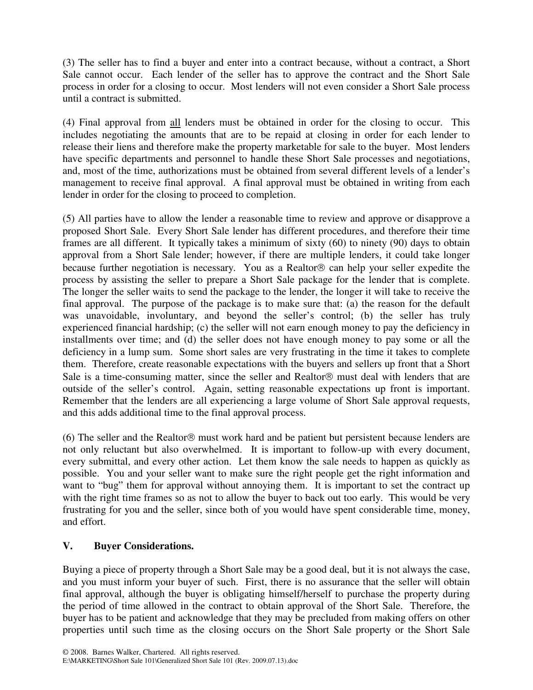(3) The seller has to find a buyer and enter into a contract because, without a contract, a Short Sale cannot occur. Each lender of the seller has to approve the contract and the Short Sale process in order for a closing to occur. Most lenders will not even consider a Short Sale process until a contract is submitted.

(4) Final approval from all lenders must be obtained in order for the closing to occur. This includes negotiating the amounts that are to be repaid at closing in order for each lender to release their liens and therefore make the property marketable for sale to the buyer. Most lenders have specific departments and personnel to handle these Short Sale processes and negotiations, and, most of the time, authorizations must be obtained from several different levels of a lender's management to receive final approval. A final approval must be obtained in writing from each lender in order for the closing to proceed to completion.

(5) All parties have to allow the lender a reasonable time to review and approve or disapprove a proposed Short Sale. Every Short Sale lender has different procedures, and therefore their time frames are all different. It typically takes a minimum of sixty (60) to ninety (90) days to obtain approval from a Short Sale lender; however, if there are multiple lenders, it could take longer because further negotiation is necessary. You as a Realtor $\circledR$  can help your seller expedite the process by assisting the seller to prepare a Short Sale package for the lender that is complete. The longer the seller waits to send the package to the lender, the longer it will take to receive the final approval. The purpose of the package is to make sure that: (a) the reason for the default was unavoidable, involuntary, and beyond the seller's control; (b) the seller has truly experienced financial hardship; (c) the seller will not earn enough money to pay the deficiency in installments over time; and (d) the seller does not have enough money to pay some or all the deficiency in a lump sum. Some short sales are very frustrating in the time it takes to complete them. Therefore, create reasonable expectations with the buyers and sellers up front that a Short Sale is a time-consuming matter, since the seller and Realtor $\circledR$  must deal with lenders that are outside of the seller's control. Again, setting reasonable expectations up front is important. Remember that the lenders are all experiencing a large volume of Short Sale approval requests, and this adds additional time to the final approval process.

 $(6)$  The seller and the Realtor  $\circledR$  must work hard and be patient but persistent because lenders are not only reluctant but also overwhelmed. It is important to follow-up with every document, every submittal, and every other action. Let them know the sale needs to happen as quickly as possible. You and your seller want to make sure the right people get the right information and want to "bug" them for approval without annoying them. It is important to set the contract up with the right time frames so as not to allow the buyer to back out too early. This would be very frustrating for you and the seller, since both of you would have spent considerable time, money, and effort.

### **V. Buyer Considerations.**

Buying a piece of property through a Short Sale may be a good deal, but it is not always the case, and you must inform your buyer of such. First, there is no assurance that the seller will obtain final approval, although the buyer is obligating himself/herself to purchase the property during the period of time allowed in the contract to obtain approval of the Short Sale. Therefore, the buyer has to be patient and acknowledge that they may be precluded from making offers on other properties until such time as the closing occurs on the Short Sale property or the Short Sale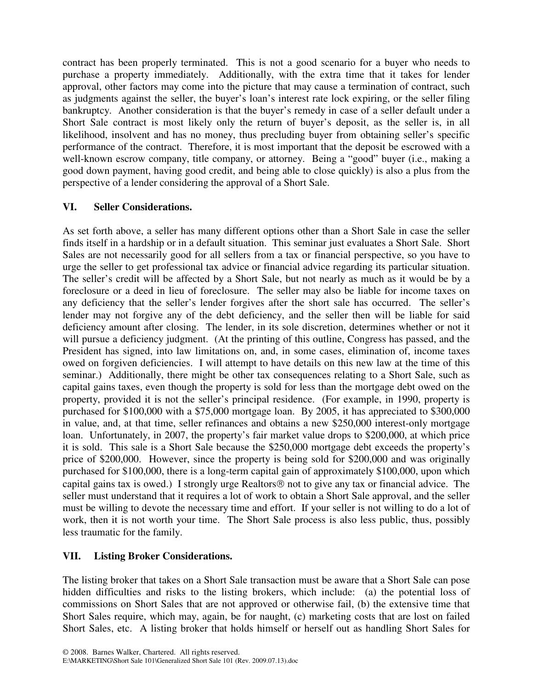contract has been properly terminated. This is not a good scenario for a buyer who needs to purchase a property immediately. Additionally, with the extra time that it takes for lender approval, other factors may come into the picture that may cause a termination of contract, such as judgments against the seller, the buyer's loan's interest rate lock expiring, or the seller filing bankruptcy. Another consideration is that the buyer's remedy in case of a seller default under a Short Sale contract is most likely only the return of buyer's deposit, as the seller is, in all likelihood, insolvent and has no money, thus precluding buyer from obtaining seller's specific performance of the contract. Therefore, it is most important that the deposit be escrowed with a well-known escrow company, title company, or attorney. Being a "good" buyer (i.e., making a good down payment, having good credit, and being able to close quickly) is also a plus from the perspective of a lender considering the approval of a Short Sale.

### **VI. Seller Considerations.**

As set forth above, a seller has many different options other than a Short Sale in case the seller finds itself in a hardship or in a default situation. This seminar just evaluates a Short Sale. Short Sales are not necessarily good for all sellers from a tax or financial perspective, so you have to urge the seller to get professional tax advice or financial advice regarding its particular situation. The seller's credit will be affected by a Short Sale, but not nearly as much as it would be by a foreclosure or a deed in lieu of foreclosure. The seller may also be liable for income taxes on any deficiency that the seller's lender forgives after the short sale has occurred. The seller's lender may not forgive any of the debt deficiency, and the seller then will be liable for said deficiency amount after closing. The lender, in its sole discretion, determines whether or not it will pursue a deficiency judgment. (At the printing of this outline, Congress has passed, and the President has signed, into law limitations on, and, in some cases, elimination of, income taxes owed on forgiven deficiencies. I will attempt to have details on this new law at the time of this seminar.) Additionally, there might be other tax consequences relating to a Short Sale, such as capital gains taxes, even though the property is sold for less than the mortgage debt owed on the property, provided it is not the seller's principal residence. (For example, in 1990, property is purchased for \$100,000 with a \$75,000 mortgage loan. By 2005, it has appreciated to \$300,000 in value, and, at that time, seller refinances and obtains a new \$250,000 interest-only mortgage loan. Unfortunately, in 2007, the property's fair market value drops to \$200,000, at which price it is sold. This sale is a Short Sale because the \$250,000 mortgage debt exceeds the property's price of \$200,000. However, since the property is being sold for \$200,000 and was originally purchased for \$100,000, there is a long-term capital gain of approximately \$100,000, upon which capital gains tax is owed.) I strongly urge Realtors $\circledR$  not to give any tax or financial advice. The seller must understand that it requires a lot of work to obtain a Short Sale approval, and the seller must be willing to devote the necessary time and effort. If your seller is not willing to do a lot of work, then it is not worth your time. The Short Sale process is also less public, thus, possibly less traumatic for the family.

### **VII. Listing Broker Considerations.**

The listing broker that takes on a Short Sale transaction must be aware that a Short Sale can pose hidden difficulties and risks to the listing brokers, which include: (a) the potential loss of commissions on Short Sales that are not approved or otherwise fail, (b) the extensive time that Short Sales require, which may, again, be for naught, (c) marketing costs that are lost on failed Short Sales, etc. A listing broker that holds himself or herself out as handling Short Sales for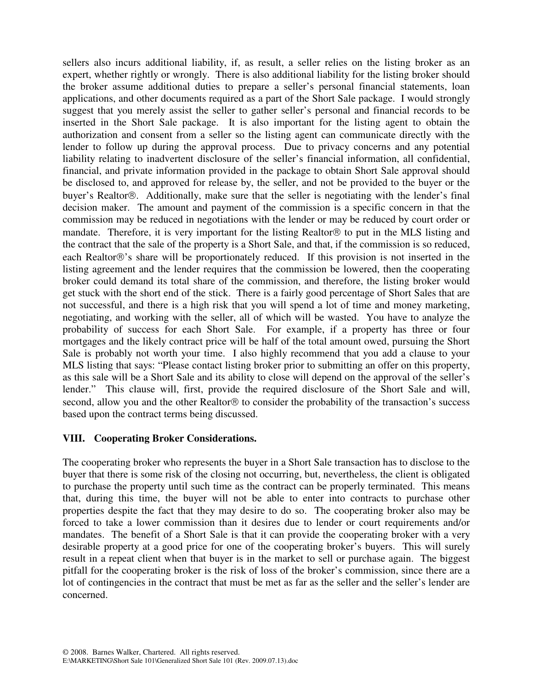sellers also incurs additional liability, if, as result, a seller relies on the listing broker as an expert, whether rightly or wrongly. There is also additional liability for the listing broker should the broker assume additional duties to prepare a seller's personal financial statements, loan applications, and other documents required as a part of the Short Sale package. I would strongly suggest that you merely assist the seller to gather seller's personal and financial records to be inserted in the Short Sale package. It is also important for the listing agent to obtain the authorization and consent from a seller so the listing agent can communicate directly with the lender to follow up during the approval process. Due to privacy concerns and any potential liability relating to inadvertent disclosure of the seller's financial information, all confidential, financial, and private information provided in the package to obtain Short Sale approval should be disclosed to, and approved for release by, the seller, and not be provided to the buyer or the buyer's Realtor®. Additionally, make sure that the seller is negotiating with the lender's final decision maker. The amount and payment of the commission is a specific concern in that the commission may be reduced in negotiations with the lender or may be reduced by court order or mandate. Therefore, it is very important for the listing Realtor $\mathcal D$  to put in the MLS listing and the contract that the sale of the property is a Short Sale, and that, if the commission is so reduced, each Realtor®'s share will be proportionately reduced. If this provision is not inserted in the listing agreement and the lender requires that the commission be lowered, then the cooperating broker could demand its total share of the commission, and therefore, the listing broker would get stuck with the short end of the stick. There is a fairly good percentage of Short Sales that are not successful, and there is a high risk that you will spend a lot of time and money marketing, negotiating, and working with the seller, all of which will be wasted. You have to analyze the probability of success for each Short Sale. For example, if a property has three or four mortgages and the likely contract price will be half of the total amount owed, pursuing the Short Sale is probably not worth your time. I also highly recommend that you add a clause to your MLS listing that says: "Please contact listing broker prior to submitting an offer on this property, as this sale will be a Short Sale and its ability to close will depend on the approval of the seller's lender." This clause will, first, provide the required disclosure of the Short Sale and will, second, allow you and the other Realtor $\mathcal D$  to consider the probability of the transaction's success based upon the contract terms being discussed.

### **VIII. Cooperating Broker Considerations.**

The cooperating broker who represents the buyer in a Short Sale transaction has to disclose to the buyer that there is some risk of the closing not occurring, but, nevertheless, the client is obligated to purchase the property until such time as the contract can be properly terminated. This means that, during this time, the buyer will not be able to enter into contracts to purchase other properties despite the fact that they may desire to do so. The cooperating broker also may be forced to take a lower commission than it desires due to lender or court requirements and/or mandates. The benefit of a Short Sale is that it can provide the cooperating broker with a very desirable property at a good price for one of the cooperating broker's buyers. This will surely result in a repeat client when that buyer is in the market to sell or purchase again. The biggest pitfall for the cooperating broker is the risk of loss of the broker's commission, since there are a lot of contingencies in the contract that must be met as far as the seller and the seller's lender are concerned.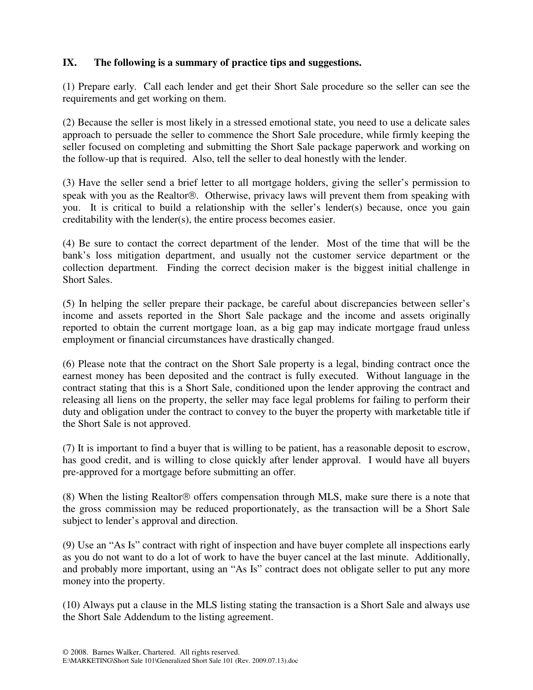### **IX. The following is a summary of practice tips and suggestions.**

(1) Prepare early. Call each lender and get their Short Sale procedure so the seller can see the requirements and get working on them.

(2) Because the seller is most likely in a stressed emotional state, you need to use a delicate sales approach to persuade the seller to commence the Short Sale procedure, while firmly keeping the seller focused on completing and submitting the Short Sale package paperwork and working on the follow-up that is required. Also, tell the seller to deal honestly with the lender.

(3) Have the seller send a brief letter to all mortgage holders, giving the seller's permission to speak with you as the Realtor®. Otherwise, privacy laws will prevent them from speaking with you. It is critical to build a relationship with the seller's lender(s) because, once you gain creditability with the lender(s), the entire process becomes easier.

(4) Be sure to contact the correct department of the lender. Most of the time that will be the bank's loss mitigation department, and usually not the customer service department or the collection department. Finding the correct decision maker is the biggest initial challenge in Short Sales.

(5) In helping the seller prepare their package, be careful about discrepancies between seller's income and assets reported in the Short Sale package and the income and assets originally reported to obtain the current mortgage loan, as a big gap may indicate mortgage fraud unless employment or financial circumstances have drastically changed.

(6) Please note that the contract on the Short Sale property is a legal, binding contract once the earnest money has been deposited and the contract is fully executed. Without language in the contract stating that this is a Short Sale, conditioned upon the lender approving the contract and releasing all liens on the property, the seller may face legal problems for failing to perform their duty and obligation under the contract to convey to the buyer the property with marketable title if the Short Sale is not approved.

(7) It is important to find a buyer that is willing to be patient, has a reasonable deposit to escrow, has good credit, and is willing to close quickly after lender approval. I would have all buyers pre-approved for a mortgage before submitting an offer.

 $(8)$  When the listing Realtor  $\odot$  offers compensation through MLS, make sure there is a note that the gross commission may be reduced proportionately, as the transaction will be a Short Sale subject to lender's approval and direction.

(9) Use an "As Is" contract with right of inspection and have buyer complete all inspections early as you do not want to do a lot of work to have the buyer cancel at the last minute. Additionally, and probably more important, using an "As Is" contract does not obligate seller to put any more money into the property.

(10) Always put a clause in the MLS listing stating the transaction is a Short Sale and always use the Short Sale Addendum to the listing agreement.